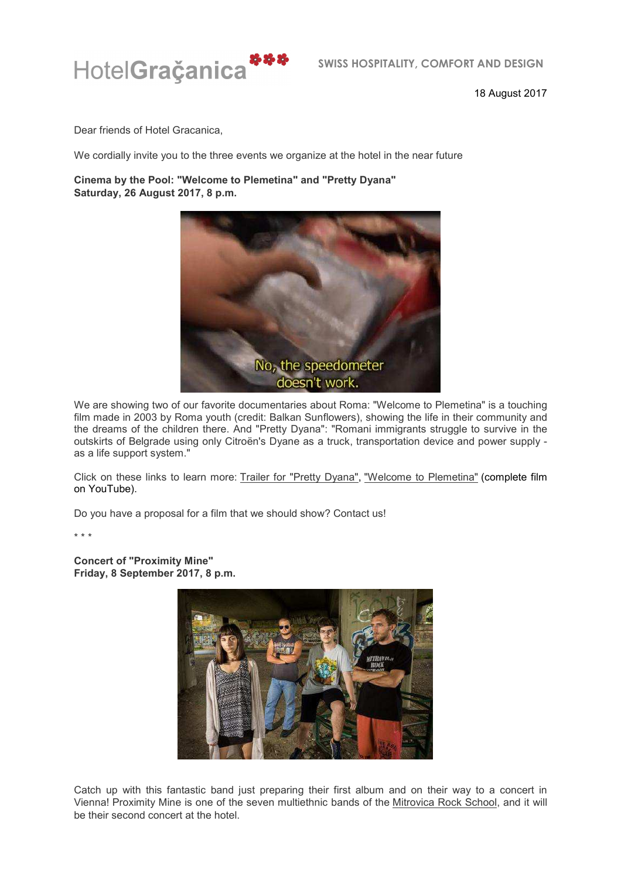

18 August 2017

Dear friends of Hotel Gracanica,

We cordially invite you to the three events we organize at the hotel in the near future

**Cinema by the Pool: "Welcome to Plemetina" and "Pretty Dyana" Saturday, 26 August 2017, 8 p.m.**



We are showing two of our favorite documentaries about Roma: "Welcome to Plemetina" is a touching film made in 2003 by Roma youth (credit: Balkan Sunflowers), showing the life in their community and the dreams of the children there. And "Pretty Dyana": "Romani immigrants struggle to survive in the outskirts of Belgrade using only Citroën's Dyane as a truck, transportation device and power supply as a life support system."

Click on these links to learn more: Trailer for "Pretty Dyana", "Welcome to Plemetina" (complete film on YouTube).

Do you have a proposal for a film that we should show? Contact us!

\* \* \*

**Concert of "Proximity Mine" Friday, 8 September 2017, 8 p.m.**



Catch up with this fantastic band just preparing their first album and on their way to a concert in Vienna! Proximity Mine is one of the seven multiethnic bands of the Mitrovica Rock School, and it will be their second concert at the hotel.